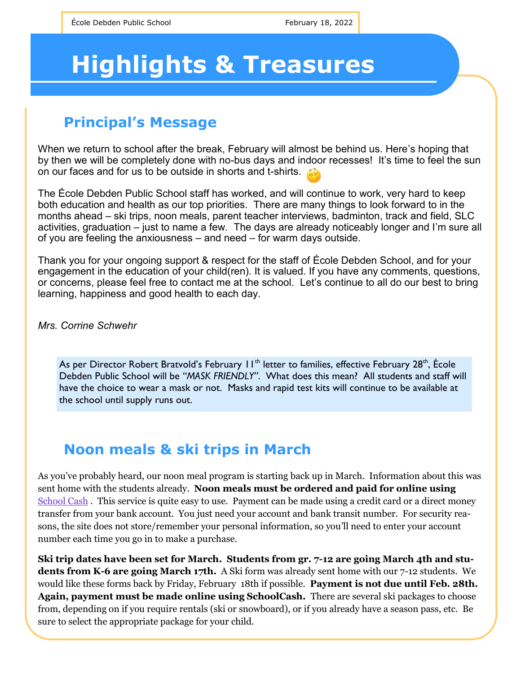# **Highlights & Treasures**

## **Principal's Message**

When we return to school after the break, February will almost be behind us. Here's hoping that by then we will be completely done with no-bus days and indoor recesses! It's time to feel the sun on our faces and for us to be outside in shorts and t-shirts.

The École Debden Public School staff has worked, and will continue to work, very hard to keep both education and health as our top priorities. There are many things to look forward to in the months ahead – ski trips, noon meals, parent teacher interviews, badminton, track and field, SLC activities, graduation – just to name a few. The days are already noticeably longer and I'm sure all of you are feeling the anxiousness – and need – for warm days outside.

Thank you for your ongoing support & respect for the staff of École Debden School, and for your engagement in the education of your child(ren). It is valued. If you have any comments, questions, or concerns, please feel free to contact me at the school. Let's continue to all do our best to bring learning, happiness and good health to each day.

*Mrs. Corrine Schwehr*

As per Director Robert Bratvold's February 11<sup>th</sup> letter to families, effective February 28<sup>th</sup>, École Debden Public School will be *"MASK FRIENDLY"*. What does this mean? All students and staff will have the choice to wear a mask or not. Masks and rapid test kits will continue to be available at the school until supply runs out.

# **Noon meals & ski trips in March**

As you've probably heard, our noon meal program is starting back up in March. Information about this was sent home with the students already. **Noon meals must be ordered and paid for online using**  [School Cash](https://srsd119.schoolcashonline.com/Fee/Details/926/308/False/True). This service is quite easy to use. Payment can be made using a credit card or a direct money transfer from your bank account. You just need your account and bank transit number. For security reasons, the site does not store/remember your personal information, so you'll need to enter your account number each time you go in to make a purchase.

**Ski trip dates have been set for March. Students from gr. 7-12 are going March 4th and students from K-6 are going March 17th.** A Ski form was already sent home with our 7-12 students. We would like these forms back by Friday, February 18th if possible. **Payment is not due until Feb. 28th. Again, payment must be made online using SchoolCash.** There are several ski packages to choose from, depending on if you require rentals (ski or snowboard), or if you already have a season pass, etc. Be sure to select the appropriate package for your child.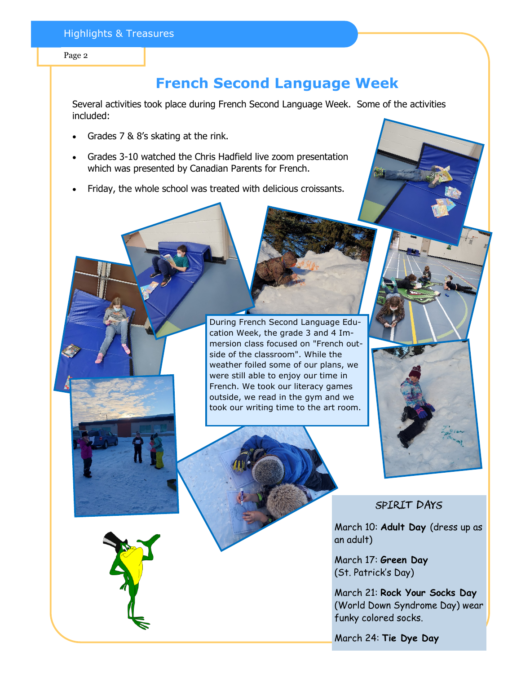#### Page 2

## **French Second Language Week**

Several activities took place during French Second Language Week. Some of the activities included:

- Grades 7 & 8's skating at the rink.
- Grades 3-10 watched the Chris Hadfield live zoom presentation which was presented by Canadian Parents for French.
- Friday, the whole school was treated with delicious croissants.

During French Second Language Education Week, the grade 3 and 4 Immersion class focused on "French outside of the classroom". While the weather foiled some of our plans, we were still able to enjoy our time in French. We took our literacy games outside, we read in the gym and we took our writing time to the art room.



## Spirit Days

March 10: **Adult Day** (dress up as an adult)

March 17: **Green Day**  (St. Patrick's Day)

March 21: **Rock Your Socks Day**  (World Down Syndrome Day) wear funky colored socks.

March 24: **Tie Dye Day**